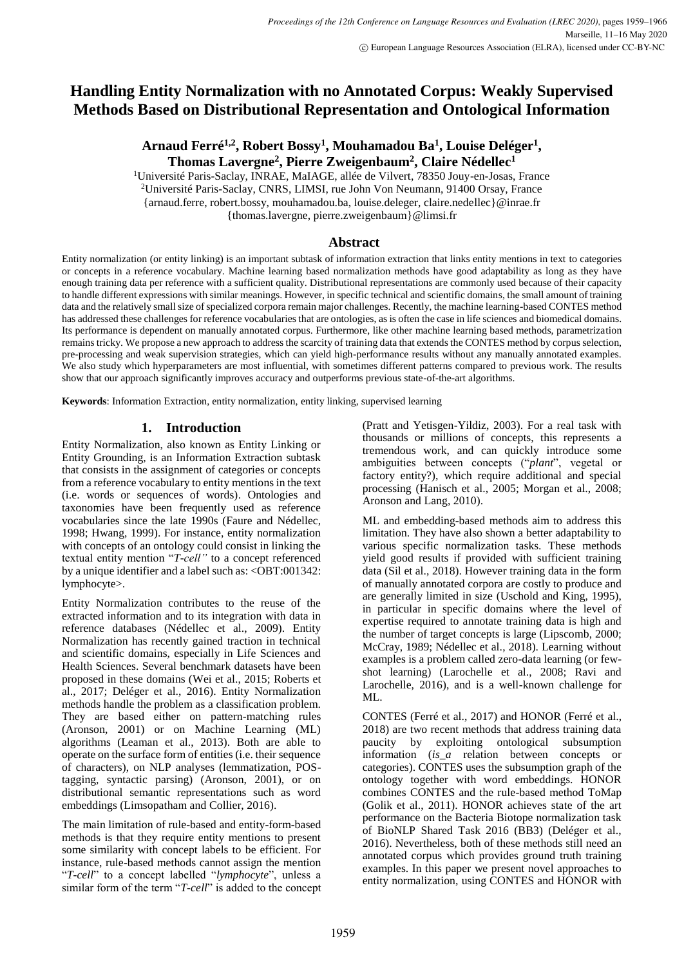# **Handling Entity Normalization with no Annotated Corpus: Weakly Supervised Methods Based on Distributional Representation and Ontological Information**

# **Arnaud Ferré1,2, Robert Bossy<sup>1</sup> , Mouhamadou Ba<sup>1</sup> , Louise Deléger<sup>1</sup> , Thomas Lavergne<sup>2</sup> , Pierre Zweigenbaum<sup>2</sup> , Claire Nédellec<sup>1</sup>**

<sup>1</sup>Université Paris-Saclay, INRAE, MaIAGE, allée de Vilvert, 78350 Jouy-en-Josas, France <sup>2</sup>Université Paris-Saclay, CNRS, LIMSI, rue John Von Neumann, 91400 Orsay, France {arnaud.ferre, robert.bossy, mouhamadou.ba, louise.deleger, claire.nedellec}@inrae.fr {thomas.lavergne, pierre.zweigenbaum}@limsi.fr

## **Abstract**

Entity normalization (or entity linking) is an important subtask of information extraction that links entity mentions in text to categories or concepts in a reference vocabulary. Machine learning based normalization methods have good adaptability as long as they have enough training data per reference with a sufficient quality. Distributional representations are commonly used because of their capacity to handle different expressions with similar meanings. However, in specific technical and scientific domains, the small amount of training data and the relatively small size of specialized corpora remain major challenges. Recently, the machine learning-based CONTES method has addressed these challenges for reference vocabularies that are ontologies, as is often the case in life sciences and biomedical domains. Its performance is dependent on manually annotated corpus. Furthermore, like other machine learning based methods, parametrization remains tricky. We propose a new approach to address the scarcity of training data that extends the CONTES method by corpus selection, pre-processing and weak supervision strategies, which can yield high-performance results without any manually annotated examples. We also study which hyperparameters are most influential, with sometimes different patterns compared to previous work. The results show that our approach significantly improves accuracy and outperforms previous state-of-the-art algorithms.

**Keywords**: Information Extraction, entity normalization, entity linking, supervised learning

## **1. Introduction**

Entity Normalization, also known as Entity Linking or Entity Grounding, is an Information Extraction subtask that consists in the assignment of categories or concepts from a reference vocabulary to entity mentions in the text (i.e. words or sequences of words). Ontologies and taxonomies have been frequently used as reference vocabularies since the late 1990s (Faure and Nédellec, 1998; Hwang, 1999). For instance, entity normalization with concepts of an ontology could consist in linking the textual entity mention "*T-cell"* to a concept referenced by a unique identifier and a label such as: <OBT:001342: lymphocyte>.

Entity Normalization contributes to the reuse of the extracted information and to its integration with data in reference databases (Nédellec et al., 2009). Entity Normalization has recently gained traction in technical and scientific domains, especially in Life Sciences and Health Sciences. Several benchmark datasets have been proposed in these domains (Wei et al., 2015; Roberts et al., 2017; Deléger et al., 2016). Entity Normalization methods handle the problem as a classification problem. They are based either on pattern-matching rules (Aronson, 2001) or on Machine Learning (ML) algorithms (Leaman et al., 2013). Both are able to operate on the surface form of entities (i.e. their sequence of characters), on NLP analyses (lemmatization, POStagging, syntactic parsing) (Aronson, 2001), or on distributional semantic representations such as word embeddings (Limsopatham and Collier, 2016).

The main limitation of rule-based and entity-form-based methods is that they require entity mentions to present some similarity with concept labels to be efficient. For instance, rule-based methods cannot assign the mention "*T-cell*" to a concept labelled "*lymphocyte*", unless a similar form of the term "*T-cell*" is added to the concept (Pratt and Yetisgen-Yildiz, 2003). For a real task with thousands or millions of concepts, this represents a tremendous work, and can quickly introduce some ambiguities between concepts ("*plant*", vegetal or factory entity?), which require additional and special processing (Hanisch et al., 2005; Morgan et al., 2008; Aronson and Lang, 2010).

ML and embedding-based methods aim to address this limitation. They have also shown a better adaptability to various specific normalization tasks. These methods yield good results if provided with sufficient training data (Sil et al., 2018). However training data in the form of manually annotated corpora are costly to produce and are generally limited in size (Uschold and King, 1995), in particular in specific domains where the level of expertise required to annotate training data is high and the number of target concepts is large (Lipscomb, 2000; McCray, 1989; Nédellec et al., 2018). Learning without examples is a problem called zero-data learning (or fewshot learning) (Larochelle et al., 2008; Ravi and Larochelle, 2016), and is a well-known challenge for ML.

CONTES (Ferré et al., 2017) and HONOR (Ferré et al., 2018) are two recent methods that address training data paucity by exploiting ontological subsumption information (*is\_a* relation between concepts or categories). CONTES uses the subsumption graph of the ontology together with word embeddings. HONOR combines CONTES and the rule-based method ToMap (Golik et al., 2011). HONOR achieves state of the art performance on the Bacteria Biotope normalization task of BioNLP Shared Task 2016 (BB3) (Deléger et al., 2016). Nevertheless, both of these methods still need an annotated corpus which provides ground truth training examples. In this paper we present novel approaches to entity normalization, using CONTES and HONOR with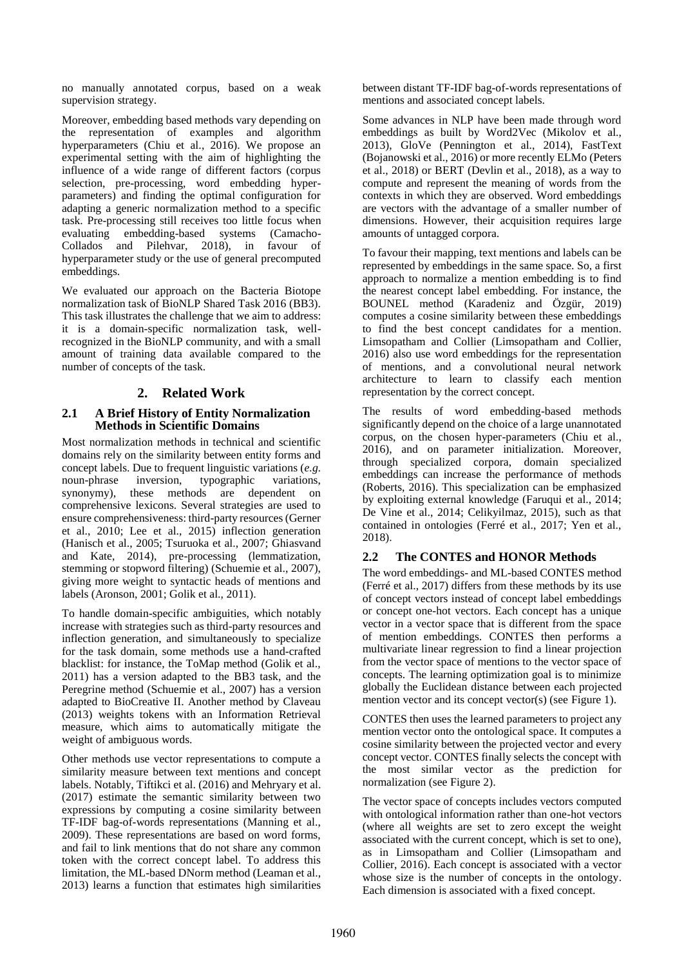no manually annotated corpus, based on a weak supervision strategy.

Moreover, embedding based methods vary depending on the representation of examples and algorithm hyperparameters (Chiu et al., 2016). We propose an experimental setting with the aim of highlighting the influence of a wide range of different factors (corpus selection, pre-processing, word embedding hyperparameters) and finding the optimal configuration for adapting a generic normalization method to a specific task. Pre-processing still receives too little focus when evaluating embedding-based systems (Camacho-Collados and Pilehvar, 2018), in favour of hyperparameter study or the use of general precomputed embeddings.

We evaluated our approach on the Bacteria Biotope normalization task of BioNLP Shared Task 2016 (BB3). This task illustrates the challenge that we aim to address: it is a domain-specific normalization task, wellrecognized in the BioNLP community, and with a small amount of training data available compared to the number of concepts of the task.

# **2. Related Work**

#### **2.1 A Brief History of Entity Normalization Methods in Scientific Domains**

Most normalization methods in technical and scientific domains rely on the similarity between entity forms and concept labels. Due to frequent linguistic variations (*e.g.* noun-phrase inversion, typographic variations, synonymy), these methods are dependent on comprehensive lexicons. Several strategies are used to ensure comprehensiveness: third-party resources (Gerner et al., 2010; Lee et al., 2015) inflection generation (Hanisch et al., 2005; Tsuruoka et al., 2007; Ghiasvand and Kate, 2014), pre-processing (lemmatization, stemming or stopword filtering) (Schuemie et al., 2007), giving more weight to syntactic heads of mentions and labels (Aronson, 2001; Golik et al., 2011).

To handle domain-specific ambiguities, which notably increase with strategies such as third-party resources and inflection generation, and simultaneously to specialize for the task domain, some methods use a hand-crafted blacklist: for instance, the ToMap method (Golik et al., 2011) has a version adapted to the BB3 task, and the Peregrine method (Schuemie et al., 2007) has a version adapted to BioCreative II. Another method by Claveau (2013) weights tokens with an Information Retrieval measure, which aims to automatically mitigate the weight of ambiguous words.

Other methods use vector representations to compute a similarity measure between text mentions and concept labels. Notably, Tiftikci et al. (2016) and Mehryary et al. (2017) estimate the semantic similarity between two expressions by computing a cosine similarity between TF-IDF bag-of-words representations (Manning et al., 2009). These representations are based on word forms, and fail to link mentions that do not share any common token with the correct concept label. To address this limitation, the ML-based DNorm method (Leaman et al., 2013) learns a function that estimates high similarities between distant TF-IDF bag-of-words representations of mentions and associated concept labels.

Some advances in NLP have been made through word embeddings as built by Word2Vec (Mikolov et al., 2013), GloVe (Pennington et al., 2014), FastText (Bojanowski et al., 2016) or more recently ELMo (Peters et al., 2018) or BERT (Devlin et al., 2018), as a way to compute and represent the meaning of words from the contexts in which they are observed. Word embeddings are vectors with the advantage of a smaller number of dimensions. However, their acquisition requires large amounts of untagged corpora.

To favour their mapping, text mentions and labels can be represented by embeddings in the same space. So, a first approach to normalize a mention embedding is to find the nearest concept label embedding. For instance, the BOUNEL method (Karadeniz and Özgür, 2019) computes a cosine similarity between these embeddings to find the best concept candidates for a mention. Limsopatham and Collier (Limsopatham and Collier, 2016) also use word embeddings for the representation of mentions, and a convolutional neural network architecture to learn to classify each mention representation by the correct concept.

The results of word embedding-based methods significantly depend on the choice of a large unannotated corpus, on the chosen hyper-parameters (Chiu et al., 2016), and on parameter initialization. Moreover, through specialized corpora, domain specialized embeddings can increase the performance of methods (Roberts, 2016). This specialization can be emphasized by exploiting external knowledge (Faruqui et al., 2014; De Vine et al., 2014; Celikyilmaz, 2015), such as that contained in ontologies (Ferré et al., 2017; Yen et al., 2018).

## **2.2 The CONTES and HONOR Methods**

The word embeddings- and ML-based CONTES method (Ferré et al., 2017) differs from these methods by its use of concept vectors instead of concept label embeddings or concept one-hot vectors. Each concept has a unique vector in a vector space that is different from the space of mention embeddings. CONTES then performs a multivariate linear regression to find a linear projection from the vector space of mentions to the vector space of concepts. The learning optimization goal is to minimize globally the Euclidean distance between each projected mention vector and its concept vector(s) (see [Figure 1\)](#page-2-0).

CONTES then uses the learned parameters to project any mention vector onto the ontological space. It computes a cosine similarity between the projected vector and every concept vector. CONTES finally selects the concept with the most similar vector as the prediction for normalization (see [Figure 2\)](#page-2-1).

The vector space of concepts includes vectors computed with ontological information rather than one-hot vectors (where all weights are set to zero except the weight associated with the current concept, which is set to one), as in Limsopatham and Collier (Limsopatham and Collier, 2016). Each concept is associated with a vector whose size is the number of concepts in the ontology. Each dimension is associated with a fixed concept.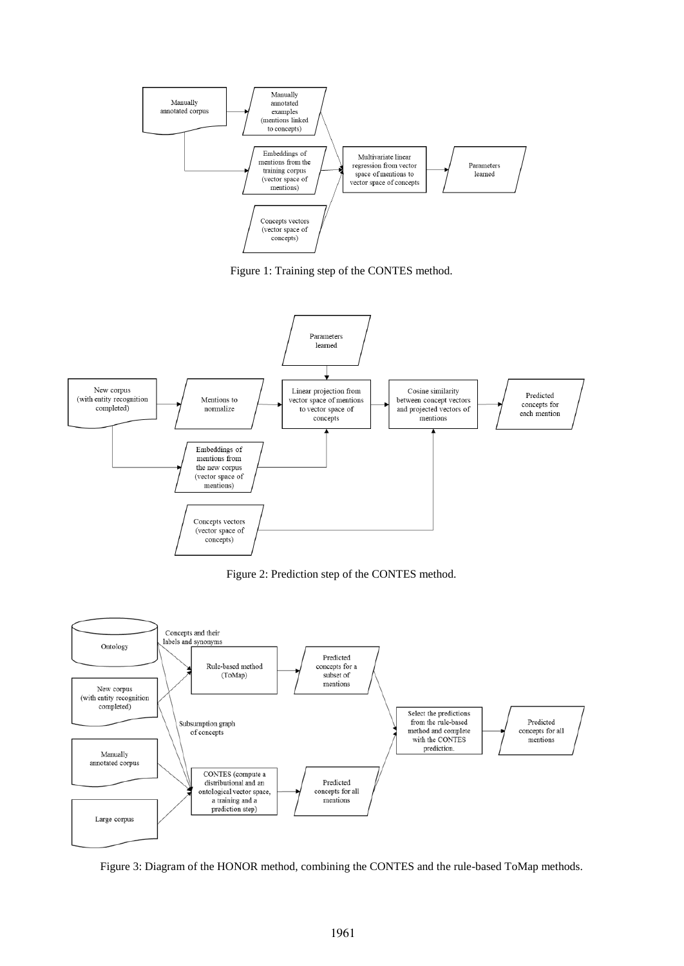

Figure 1: Training step of the CONTES method.

<span id="page-2-0"></span>

Figure 2: Prediction step of the CONTES method.

<span id="page-2-1"></span>

<span id="page-2-2"></span>Figure 3: Diagram of the HONOR method, combining the CONTES and the rule-based ToMap methods.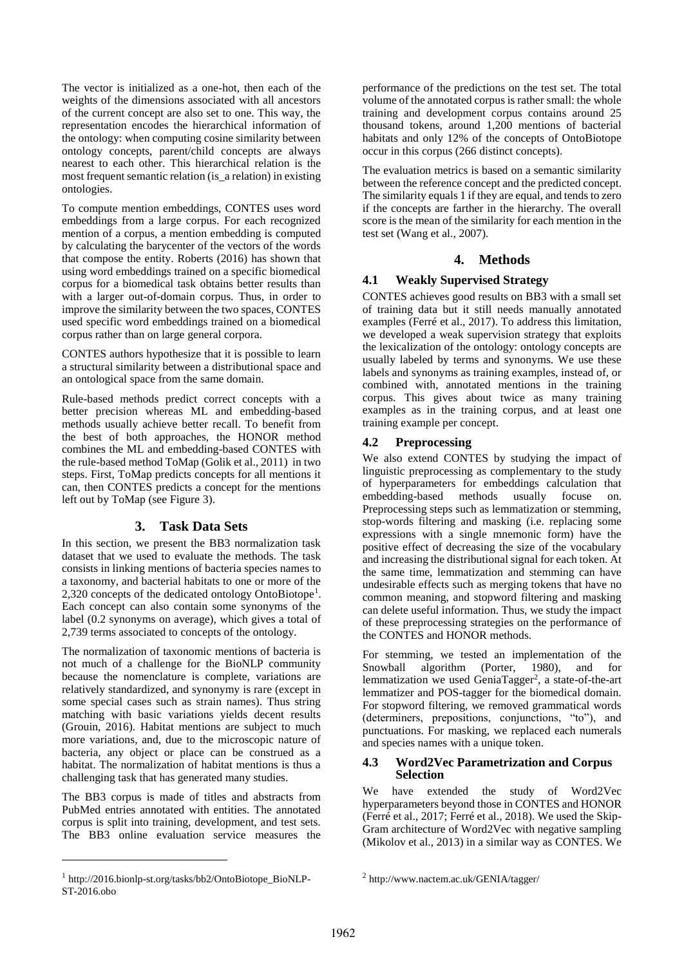The vector is initialized as a one-hot, then each of the weights of the dimensions associated with all ancestors of the current concept are also set to one. This way, the representation encodes the hierarchical information of the ontology: when computing cosine similarity between ontology concepts, parent/child concepts are always nearest to each other. This hierarchical relation is the most frequent semantic relation (is\_a relation) in existing ontologies.

To compute mention embeddings, CONTES uses word embeddings from a large corpus. For each recognized mention of a corpus, a mention embedding is computed by calculating the barycenter of the vectors of the words that compose the entity. Roberts (2016) has shown that using word embeddings trained on a specific biomedical corpus for a biomedical task obtains better results than with a larger out-of-domain corpus. Thus, in order to improve the similarity between the two spaces, CONTES used specific word embeddings trained on a biomedical corpus rather than on large general corpora.

CONTES authors hypothesize that it is possible to learn a structural similarity between a distributional space and an ontological space from the same domain.

Rule-based methods predict correct concepts with a better precision whereas ML and embedding-based methods usually achieve better recall. To benefit from the best of both approaches, the HONOR method combines the ML and embedding-based CONTES with the rule-based method ToMap (Golik et al., 2011) in two steps. First, ToMap predicts concepts for all mentions it can, then CONTES predicts a concept for the mentions left out by ToMap (see [Figure 3\)](#page-2-2).

## **3. Task Data Sets**

In this section, we present the BB3 normalization task dataset that we used to evaluate the methods. The task consists in linking mentions of bacteria species names to a taxonomy, and bacterial habitats to one or more of the 2,320 concepts of the dedicated ontology OntoBiotope<sup>1</sup>. Each concept can also contain some synonyms of the label (0.2 synonyms on average), which gives a total of 2,739 terms associated to concepts of the ontology.

The normalization of taxonomic mentions of bacteria is not much of a challenge for the BioNLP community because the nomenclature is complete, variations are relatively standardized, and synonymy is rare (except in some special cases such as strain names). Thus string matching with basic variations yields decent results (Grouin, 2016). Habitat mentions are subject to much more variations, and, due to the microscopic nature of bacteria, any object or place can be construed as a habitat. The normalization of habitat mentions is thus a challenging task that has generated many studies.

The BB3 corpus is made of titles and abstracts from PubMed entries annotated with entities. The annotated corpus is split into training, development, and test sets. The BB3 online evaluation service measures the

l

performance of the predictions on the test set. The total volume of the annotated corpus is rather small: the whole training and development corpus contains around 25 thousand tokens, around 1,200 mentions of bacterial habitats and only 12% of the concepts of OntoBiotope occur in this corpus (266 distinct concepts).

The evaluation metrics is based on a semantic similarity between the reference concept and the predicted concept. The similarity equals 1 if they are equal, and tends to zero if the concepts are farther in the hierarchy. The overall score is the mean of the similarity for each mention in the test set (Wang et al., 2007).

## **4. Methods**

#### **4.1 Weakly Supervised Strategy**

CONTES achieves good results on BB3 with a small set of training data but it still needs manually annotated examples (Ferré et al., 2017). To address this limitation, we developed a weak supervision strategy that exploits the lexicalization of the ontology: ontology concepts are usually labeled by terms and synonyms. We use these labels and synonyms as training examples, instead of, or combined with, annotated mentions in the training corpus. This gives about twice as many training examples as in the training corpus, and at least one training example per concept.

#### **4.2 Preprocessing**

We also extend CONTES by studying the impact of linguistic preprocessing as complementary to the study of hyperparameters for embeddings calculation that embedding-based methods usually focuse on. Preprocessing steps such as lemmatization or stemming, stop-words filtering and masking (i.e. replacing some expressions with a single mnemonic form) have the positive effect of decreasing the size of the vocabulary and increasing the distributional signal for each token. At the same time, lemmatization and stemming can have undesirable effects such as merging tokens that have no common meaning, and stopword filtering and masking can delete useful information. Thus, we study the impact of these preprocessing strategies on the performance of the CONTES and HONOR methods.

For stemming, we tested an implementation of the Snowball algorithm (Porter, 1980), and for lemmatization we used GeniaTagger<sup>2</sup>, a state-of-the-art lemmatizer and POS-tagger for the biomedical domain. For stopword filtering, we removed grammatical words (determiners, prepositions, conjunctions, "to"), and punctuations. For masking, we replaced each numerals and species names with a unique token.

#### **4.3 Word2Vec Parametrization and Corpus Selection**

We have extended the study of Word2Vec hyperparameters beyond those in CONTES and HONOR (Ferré et al., 2017; Ferré et al., 2018). We used the Skip-Gram architecture of Word2Vec with negative sampling (Mikolov et al., 2013) in a similar way as CONTES. We

<sup>1</sup> [http://2016.bionlp-st.org/tasks/bb2/OntoBiotope\\_BioNLP-](http://2016.bionlp-st.org/tasks/bb2/OntoBiotope_BioNLP-ST-2016.obo)[ST-2016.obo](http://2016.bionlp-st.org/tasks/bb2/OntoBiotope_BioNLP-ST-2016.obo)

<sup>2</sup> <http://www.nactem.ac.uk/GENIA/tagger/>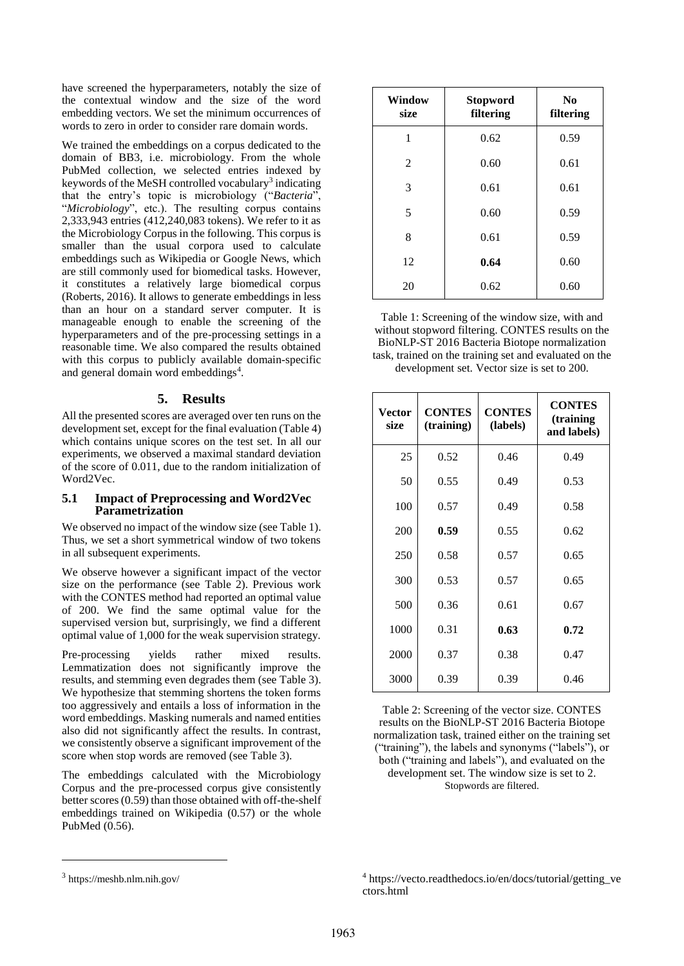have screened the hyperparameters, notably the size of the contextual window and the size of the word embedding vectors. We set the minimum occurrences of words to zero in order to consider rare domain words.

We trained the embeddings on a corpus dedicated to the domain of BB3, i.e. microbiology. From the whole PubMed collection, we selected entries indexed by keywords of the MeSH controlled vocabulary<sup>3</sup> indicating that the entry's topic is microbiology ("*Bacteria*", "*Microbiology*", etc.). The resulting corpus contains 2,333,943 entries (412,240,083 tokens). We refer to it as the Microbiology Corpus in the following. This corpus is smaller than the usual corpora used to calculate embeddings such as Wikipedia or Google News, which are still commonly used for biomedical tasks. However, it constitutes a relatively large biomedical corpus (Roberts, 2016). It allows to generate embeddings in less than an hour on a standard server computer. It is manageable enough to enable the screening of the hyperparameters and of the pre-processing settings in a reasonable time. We also compared the results obtained with this corpus to publicly available domain-specific and general domain word embeddings<sup>4</sup>.

## **5. Results**

All the presented scores are averaged over ten runs on the development set, except for the final evaluation (Table 4) which contains unique scores on the test set. In all our experiments, we observed a maximal standard deviation of the score of 0.011, due to the random initialization of Word2Vec.

#### **5.1 Impact of Preprocessing and Word2Vec Parametrization**

We observed no impact of the window size (see [Table 1\)](#page-4-0). Thus, we set a short symmetrical window of two tokens in all subsequent experiments.

We observe however a significant impact of the vector size on the performance (see [Table 2\)](#page-4-1). Previous work with the CONTES method had reported an optimal value of 200. We find the same optimal value for the supervised version but, surprisingly, we find a different optimal value of 1,000 for the weak supervision strategy.

Pre-processing yields rather mixed results. Lemmatization does not significantly improve the results, and stemming even degrades them (see [Table 3\)](#page-5-0). We hypothesize that stemming shortens the token forms too aggressively and entails a loss of information in the word embeddings. Masking numerals and named entities also did not significantly affect the results. In contrast, we consistently observe a significant improvement of the score when stop words are removed (see Table 3).

The embeddings calculated with the Microbiology Corpus and the pre-processed corpus give consistently better scores (0.59) than those obtained with off-the-shelf embeddings trained on Wikipedia (0.57) or the whole PubMed (0.56).

| Window<br>size | <b>Stopword</b><br>filtering | N <sub>0</sub><br>filtering |
|----------------|------------------------------|-----------------------------|
| 1              | 0.62                         | 0.59                        |
| $\overline{2}$ | 0.60                         | 0.61                        |
| 3              | 0.61                         | 0.61                        |
| 5              | 0.60                         | 0.59                        |
| 8              | 0.61                         | 0.59                        |
| 12             | 0.64                         | 0.60                        |
| 20             | 0.62                         | 0.60                        |

<span id="page-4-0"></span>Table 1: Screening of the window size, with and without stopword filtering. CONTES results on the BioNLP-ST 2016 Bacteria Biotope normalization task, trained on the training set and evaluated on the development set. Vector size is set to 200.

| Vector<br>size | <b>CONTES</b><br>(training) | <b>CONTES</b><br>(labels) | <b>CONTES</b><br>(training)<br>and labels) |
|----------------|-----------------------------|---------------------------|--------------------------------------------|
| 25             | 0.52                        | 0.46                      | 0.49                                       |
| 50             | 0.55                        | 0.49                      | 0.53                                       |
| 100            | 0.57                        | 0.49                      | 0.58                                       |
| 200            | 0.59                        | 0.55                      | 0.62                                       |
| 250            | 0.58                        | 0.57                      | 0.65                                       |
| 300            | 0.53                        | 0.57                      | 0.65                                       |
| 500            | 0.36                        | 0.61                      | 0.67                                       |
| 1000           | 0.31                        | 0.63                      | 0.72                                       |
| 2000           | 0.37                        | 0.38                      | 0.47                                       |
| 3000           | 0.39                        | 0.39                      | 0.46                                       |

<span id="page-4-1"></span>Table 2: Screening of the vector size. CONTES results on the BioNLP-ST 2016 Bacteria Biotope normalization task, trained either on the training set ("training"), the labels and synonyms ("labels"), or both ("training and labels"), and evaluated on the development set. The window size is set to 2. Stopwords are filtered.

l

<sup>3</sup> <https://meshb.nlm.nih.gov/>

<sup>4</sup> https://vecto.readthedocs.io/en/docs/tutorial/getting\_ve ctors.html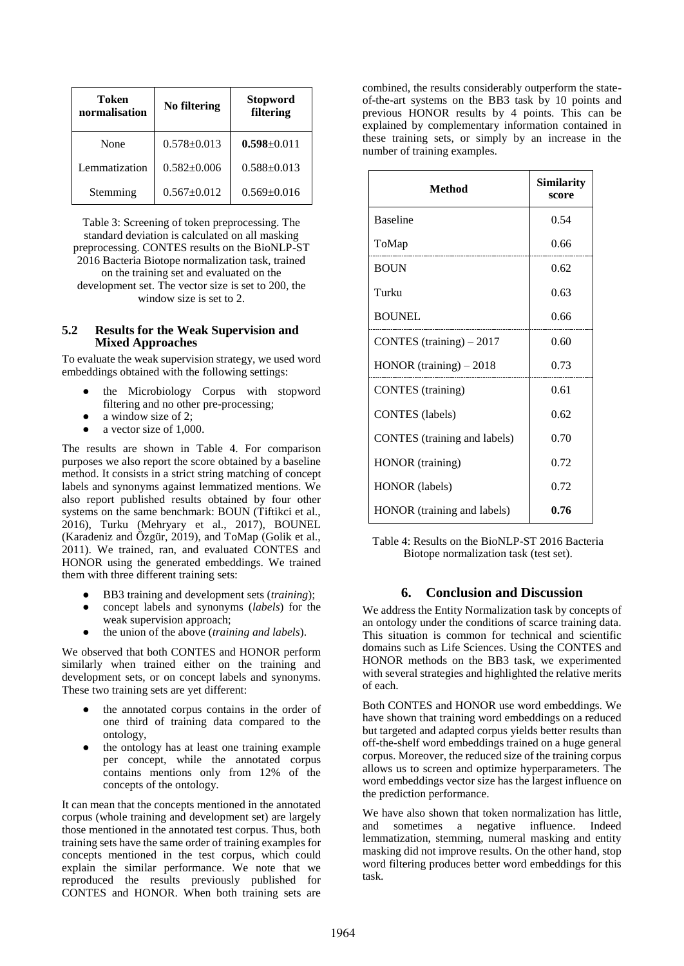| Token<br>normalisation | No filtering      | <b>Stopword</b><br>filtering |
|------------------------|-------------------|------------------------------|
| None                   | $0.578 + 0.013$   | $0.598 \pm 0.011$            |
| Lemmatization          | $0.582 + 0.006$   | $0.588 \pm 0.013$            |
| Stemming               | $0.567 \pm 0.012$ | $0.569 \pm 0.016$            |

<span id="page-5-0"></span>Table 3: Screening of token preprocessing. The standard deviation is calculated on all masking preprocessing. CONTES results on the BioNLP-ST 2016 Bacteria Biotope normalization task, trained on the training set and evaluated on the development set. The vector size is set to 200, the window size is set to 2.

#### **5.2 Results for the Weak Supervision and Mixed Approaches**

To evaluate the weak supervision strategy, we used word embeddings obtained with the following settings:

- the Microbiology Corpus with stopword filtering and no other pre-processing;
- a window size of 2;
- a vector size of 1,000.

The results are shown in [Table 4.](#page-5-1) For comparison purposes we also report the score obtained by a baseline method. It consists in a strict string matching of concept labels and synonyms against lemmatized mentions. We also report published results obtained by four other systems on the same benchmark: BOUN (Tiftikci et al., 2016), Turku (Mehryary et al., 2017), BOUNEL (Karadeniz and Özgür, 2019), and ToMap (Golik et al., 2011). We trained, ran, and evaluated CONTES and HONOR using the generated embeddings. We trained them with three different training sets:

- BB3 training and development sets (*training*);
- concept labels and synonyms (*labels*) for the weak supervision approach;
- the union of the above (*training and labels*).

We observed that both CONTES and HONOR perform similarly when trained either on the training and development sets, or on concept labels and synonyms. These two training sets are yet different:

- the annotated corpus contains in the order of one third of training data compared to the ontology,
- the ontology has at least one training example per concept, while the annotated corpus contains mentions only from 12% of the concepts of the ontology.

It can mean that the concepts mentioned in the annotated corpus (whole training and development set) are largely those mentioned in the annotated test corpus. Thus, both training sets have the same order of training examples for concepts mentioned in the test corpus, which could explain the similar performance. We note that we reproduced the results previously published for CONTES and HONOR. When both training sets are

combined, the results considerably outperform the stateof-the-art systems on the BB3 task by 10 points and previous HONOR results by 4 points. This can be explained by complementary information contained in these training sets, or simply by an increase in the number of training examples.

| <b>Method</b>                | <b>Similarity</b><br>score |
|------------------------------|----------------------------|
| <b>Baseline</b>              | 0.54                       |
| ToMap                        | 0.66                       |
| <b>BOUN</b>                  | 0.62                       |
| Turku                        | 0.63                       |
| <b>BOUNEL</b>                | 0.66                       |
| CONTES (training) $-2017$    | 0.60                       |
| HONOR (training) $-2018$     | 0.73                       |
| <b>CONTES</b> (training)     | 0.61                       |
| <b>CONTES</b> (labels)       | 0.62                       |
| CONTES (training and labels) | 0.70                       |
| HONOR (training)             | 0.72                       |
| HONOR (labels)               | 0.72                       |
| HONOR (training and labels)  | 0.76                       |

<span id="page-5-1"></span>Table 4: Results on the BioNLP-ST 2016 Bacteria Biotope normalization task (test set).

## **6. Conclusion and Discussion**

We address the Entity Normalization task by concepts of an ontology under the conditions of scarce training data. This situation is common for technical and scientific domains such as Life Sciences. Using the CONTES and HONOR methods on the BB3 task, we experimented with several strategies and highlighted the relative merits of each.

Both CONTES and HONOR use word embeddings. We have shown that training word embeddings on a reduced but targeted and adapted corpus yields better results than off-the-shelf word embeddings trained on a huge general corpus. Moreover, the reduced size of the training corpus allows us to screen and optimize hyperparameters. The word embeddings vector size has the largest influence on the prediction performance.

We have also shown that token normalization has little, and sometimes a negative influence. Indeed lemmatization, stemming, numeral masking and entity masking did not improve results. On the other hand, stop word filtering produces better word embeddings for this task.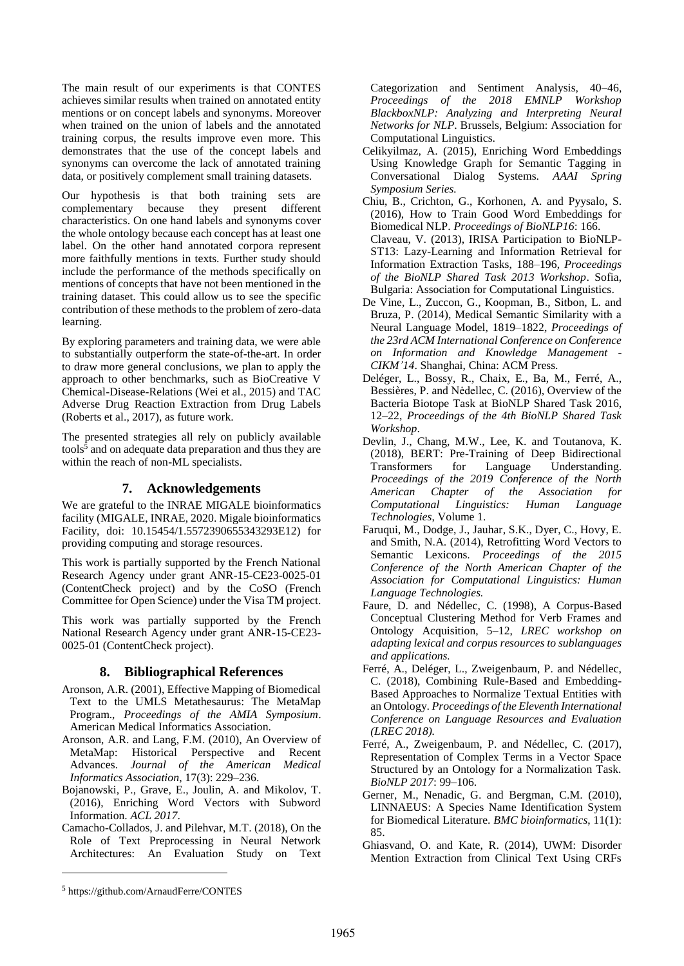The main result of our experiments is that CONTES achieves similar results when trained on annotated entity mentions or on concept labels and synonyms. Moreover when trained on the union of labels and the annotated training corpus, the results improve even more. This demonstrates that the use of the concept labels and synonyms can overcome the lack of annotated training data, or positively complement small training datasets.

Our hypothesis is that both training sets are complementary because they present different characteristics. On one hand labels and synonyms cover the whole ontology because each concept has at least one label. On the other hand annotated corpora represent more faithfully mentions in texts. Further study should include the performance of the methods specifically on mentions of concepts that have not been mentioned in the training dataset. This could allow us to see the specific contribution of these methods to the problem of zero-data learning.

By exploring parameters and training data, we were able to substantially outperform the state-of-the-art. In order to draw more general conclusions, we plan to apply the approach to other benchmarks, such as BioCreative V Chemical-Disease-Relations (Wei et al., 2015) and TAC Adverse Drug Reaction Extraction from Drug Labels (Roberts et al., 2017), as future work.

The presented strategies all rely on publicly available tools<sup>5</sup> and on adequate data preparation and thus they are within the reach of non-ML specialists.

## **7. Acknowledgements**

We are grateful to the INRAE MIGALE bioinformatics facility (MIGALE, INRAE, 2020. Migale bioinformatics Facility, doi: 10.15454/1.5572390655343293E12) for providing computing and storage resources.

This work is partially supported by the French National Research Agency under grant ANR-15-CE23-0025-01 (ContentCheck project) and by the CoSO (French Committee for Open Science) under the Visa TM project.

This work was partially supported by the French National Research Agency under grant ANR-15-CE23- 0025-01 (ContentCheck project).

#### **8. Bibliographical References**

- Aronson, A.R. (2001), Effective Mapping of Biomedical Text to the UMLS Metathesaurus: The MetaMap Program., *Proceedings of the AMIA Symposium*. American Medical Informatics Association.
- Aronson, A.R. and Lang, F.M. (2010), An Overview of MetaMap: Historical Perspective and Recent Advances. *Journal of the American Medical Informatics Association*, 17(3): 229–236.
- Bojanowski, P., Grave, E., Joulin, A. and Mikolov, T. (2016), Enriching Word Vectors with Subword Information. *ACL 2017*.
- Camacho-Collados, J. and Pilehvar, M.T. (2018), On the Role of Text Preprocessing in Neural Network Architectures: An Evaluation Study on Text

Categorization and Sentiment Analysis, 40–46, *Proceedings of the 2018 EMNLP Workshop BlackboxNLP: Analyzing and Interpreting Neural Networks for NLP*. Brussels, Belgium: Association for Computational Linguistics.

- Celikyilmaz, A. (2015), Enriching Word Embeddings Using Knowledge Graph for Semantic Tagging in Conversational Dialog Systems. *AAAI Spring Symposium Series.*
- Chiu, B., Crichton, G., Korhonen, A. and Pyysalo, S. (2016), How to Train Good Word Embeddings for Biomedical NLP. *Proceedings of BioNLP16*: 166. Claveau, V. (2013), IRISA Participation to BioNLP-ST13: Lazy-Learning and Information Retrieval for Information Extraction Tasks, 188–196, *Proceedings of the BioNLP Shared Task 2013 Workshop*. Sofia, Bulgaria: Association for Computational Linguistics.
- De Vine, L., Zuccon, G., Koopman, B., Sitbon, L. and Bruza, P. (2014), Medical Semantic Similarity with a Neural Language Model, 1819–1822, *Proceedings of the 23rd ACM International Conference on Conference on Information and Knowledge Management - CIKM'14*. Shanghai, China: ACM Press.
- Deléger, L., Bossy, R., Chaix, E., Ba, M., Ferré, A., Bessières, P. and Nėdellec, C. (2016), Overview of the Bacteria Biotope Task at BioNLP Shared Task 2016, 12–22, *Proceedings of the 4th BioNLP Shared Task Workshop*.
- Devlin, J., Chang, M.W., Lee, K. and Toutanova, K. (2018), BERT: Pre-Training of Deep Bidirectional Transformers for Language Understanding. *Proceedings of the 2019 Conference of the North American Chapter of the Association for Computational Linguistics: Human Language Technologies*, Volume 1.
- Faruqui, M., Dodge, J., Jauhar, S.K., Dyer, C., Hovy, E. and Smith, N.A. (2014), Retrofitting Word Vectors to Semantic Lexicons. *Proceedings of the 2015 Conference of the North American Chapter of the Association for Computational Linguistics: Human Language Technologies.*
- Faure, D. and Nédellec, C. (1998), A Corpus-Based Conceptual Clustering Method for Verb Frames and Ontology Acquisition, 5–12, *LREC workshop on adapting lexical and corpus resources to sublanguages and applications.*
- Ferré, A., Deléger, L., Zweigenbaum, P. and Nédellec, C. (2018), Combining Rule-Based and Embedding-Based Approaches to Normalize Textual Entities with an Ontology. *Proceedings of the Eleventh International Conference on Language Resources and Evaluation (LREC 2018).*
- Ferré, A., Zweigenbaum, P. and Nédellec, C. (2017), Representation of Complex Terms in a Vector Space Structured by an Ontology for a Normalization Task. *BioNLP 2017*: 99–106.
- Gerner, M., Nenadic, G. and Bergman, C.M. (2010), LINNAEUS: A Species Name Identification System for Biomedical Literature. *BMC bioinformatics*, 11(1): 85.
- Ghiasvand, O. and Kate, R. (2014), UWM: Disorder Mention Extraction from Clinical Text Using CRFs

l

<sup>5</sup> [https://github.com/ArnaudFerre/CONTES](https://github.com/ArnaudFerre/CONTES/)